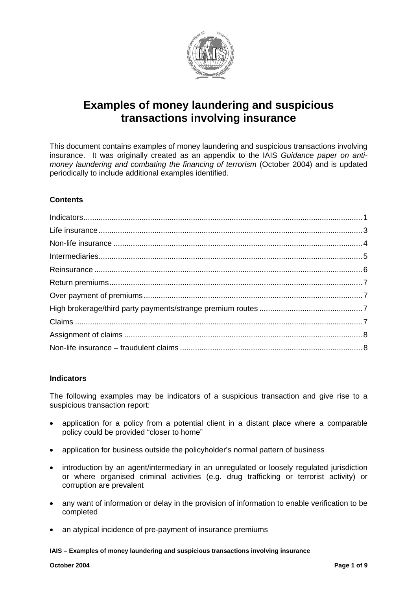

# **Examples of money laundering and suspicious transactions involving insurance**

This document contains examples of money laundering and suspicious transactions involving insurance. It was originally created as an appendix to the IAIS *Guidance paper on antimoney laundering and combating the financing of terrorism* (October 2004) and is updated periodically to include additional examples identified.

# **Contents**

## <span id="page-0-0"></span>**Indicators**

The following examples may be indicators of a suspicious transaction and give rise to a suspicious transaction report:

- application for a policy from a potential client in a distant place where a comparable policy could be provided "closer to home"
- application for business outside the policyholder's normal pattern of business
- introduction by an agent/intermediary in an unregulated or loosely regulated jurisdiction or where organised criminal activities (e.g. drug trafficking or terrorist activity) or corruption are prevalent
- any want of information or delay in the provision of information to enable verification to be completed
- an atypical incidence of pre-payment of insurance premiums

**IAIS – Examples of money laundering and suspicious transactions involving insurance**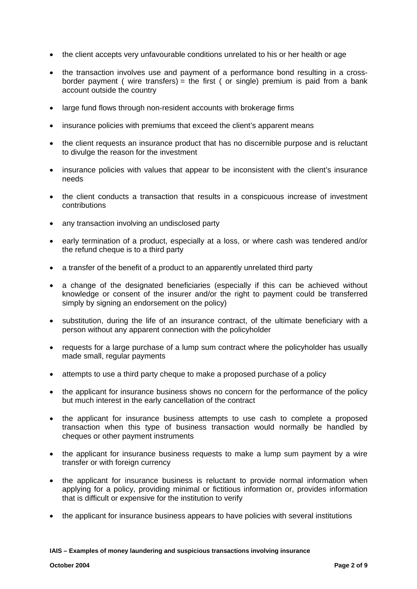- the client accepts very unfavourable conditions unrelated to his or her health or age
- the transaction involves use and payment of a performance bond resulting in a crossborder payment ( wire transfers) = the first ( or single) premium is paid from a bank account outside the country
- large fund flows through non-resident accounts with brokerage firms
- insurance policies with premiums that exceed the client's apparent means
- the client requests an insurance product that has no discernible purpose and is reluctant to divulge the reason for the investment
- insurance policies with values that appear to be inconsistent with the client's insurance needs
- the client conducts a transaction that results in a conspicuous increase of investment contributions
- any transaction involving an undisclosed party
- early termination of a product, especially at a loss, or where cash was tendered and/or the refund cheque is to a third party
- a transfer of the benefit of a product to an apparently unrelated third party
- a change of the designated beneficiaries (especially if this can be achieved without knowledge or consent of the insurer and/or the right to payment could be transferred simply by signing an endorsement on the policy)
- substitution, during the life of an insurance contract, of the ultimate beneficiary with a person without any apparent connection with the policyholder
- requests for a large purchase of a lump sum contract where the policyholder has usually made small, regular payments
- attempts to use a third party cheque to make a proposed purchase of a policy
- the applicant for insurance business shows no concern for the performance of the policy but much interest in the early cancellation of the contract
- the applicant for insurance business attempts to use cash to complete a proposed transaction when this type of business transaction would normally be handled by cheques or other payment instruments
- the applicant for insurance business requests to make a lump sum payment by a wire transfer or with foreign currency
- the applicant for insurance business is reluctant to provide normal information when applying for a policy, providing minimal or fictitious information or, provides information that is difficult or expensive for the institution to verify
- the applicant for insurance business appears to have policies with several institutions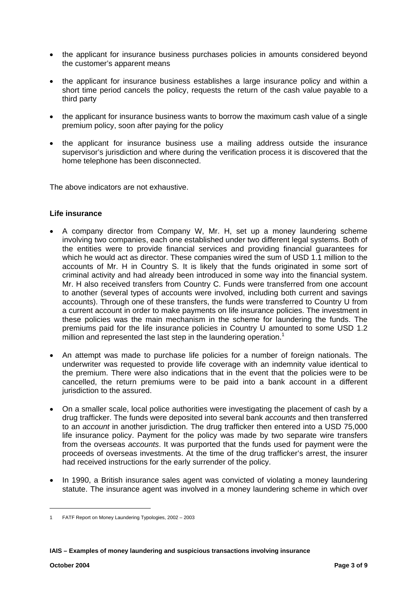- the applicant for insurance business purchases policies in amounts considered beyond the customer's apparent means
- the applicant for insurance business establishes a large insurance policy and within a short time period cancels the policy, requests the return of the cash value payable to a third party
- the applicant for insurance business wants to borrow the maximum cash value of a single premium policy, soon after paying for the policy
- the applicant for insurance business use a mailing address outside the insurance supervisor's jurisdiction and where during the verification process it is discovered that the home telephone has been disconnected.

The above indicators are not exhaustive.

### <span id="page-2-0"></span>**Life insurance**

- A company director from Company W, Mr. H, set up a money laundering scheme involving two companies, each one established under two different legal systems. Both of the entities were to provide financial services and providing financial guarantees for which he would act as director. These companies wired the sum of USD 1.1 million to the accounts of Mr. H in Country S. It is likely that the funds originated in some sort of criminal activity and had already been introduced in some way into the financial system. Mr. H also received transfers from Country C. Funds were transferred from one account to another (several types of accounts were involved, including both current and savings accounts). Through one of these transfers, the funds were transferred to Country U from a current account in order to make payments on life insurance policies. The investment in these policies was the main mechanism in the scheme for laundering the funds. The premiums paid for the life insurance policies in Country U amounted to some USD 1.2 million and represented the last step in the laundering operation.<sup>[1](#page-2-1)</sup>
- An attempt was made to purchase life policies for a number of foreign nationals. The underwriter was requested to provide life coverage with an indemnity value identical to the premium. There were also indications that in the event that the policies were to be cancelled, the return premiums were to be paid into a bank account in a different jurisdiction to the assured.
- On a smaller scale, local police authorities were investigating the placement of cash by a drug trafficker. The funds were deposited into several bank *accounts* and then transferred to an *account* in another jurisdiction. The drug trafficker then entered into a USD 75,000 life insurance policy. Payment for the policy was made by two separate wire transfers from the overseas *accounts*. It was purported that the funds used for payment were the proceeds of overseas investments. At the time of the drug trafficker's arrest, the insurer had received instructions for the early surrender of the policy.
- In 1990, a British insurance sales agent was convicted of violating a money laundering statute. The insurance agent was involved in a money laundering scheme in which over

**IAIS – Examples of money laundering and suspicious transactions involving insurance** 

<span id="page-2-1"></span><sup>1</sup> FATF Report on Money Laundering Typologies, 2002 – 2003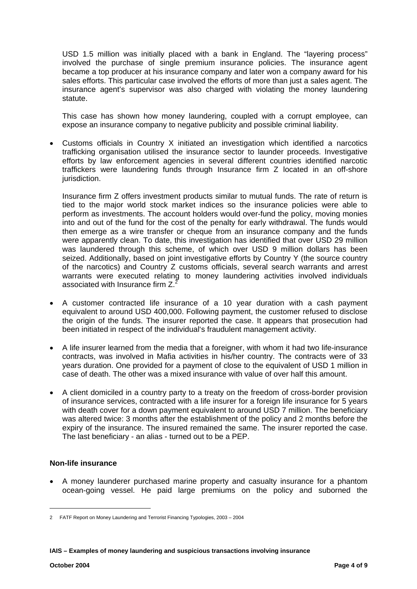USD 1.5 million was initially placed with a bank in England. The "layering process" involved the purchase of single premium insurance policies. The insurance agent became a top producer at his insurance company and later won a company award for his sales efforts. This particular case involved the efforts of more than just a sales agent. The insurance agent's supervisor was also charged with violating the money laundering statute.

This case has shown how money laundering, coupled with a corrupt employee, can expose an insurance company to negative publicity and possible criminal liability.

• Customs officials in Country X initiated an investigation which identified a narcotics trafficking organisation utilised the insurance sector to launder proceeds. Investigative efforts by law enforcement agencies in several different countries identified narcotic traffickers were laundering funds through Insurance firm Z located in an off-shore jurisdiction.

Insurance firm Z offers investment products similar to mutual funds. The rate of return is tied to the major world stock market indices so the insurance policies were able to perform as investments. The account holders would over-fund the policy, moving monies into and out of the fund for the cost of the penalty for early withdrawal. The funds would then emerge as a wire transfer or cheque from an insurance company and the funds were apparently clean. To date, this investigation has identified that over USD 29 million was laundered through this scheme, of which over USD 9 million dollars has been seized. Additionally, based on joint investigative efforts by Country Y (the source country of the narcotics) and Country Z customs officials, several search warrants and arrest warrants were executed relating to money laundering activities involved individuals associated with Insurance firm  $Z^2$  $Z^2$ 

- A customer contracted life insurance of a 10 year duration with a cash payment equivalent to around USD 400,000. Following payment, the customer refused to disclose the origin of the funds. The insurer reported the case. It appears that prosecution had been initiated in respect of the individual's fraudulent management activity.
- A life insurer learned from the media that a foreigner, with whom it had two life-insurance contracts, was involved in Mafia activities in his/her country. The contracts were of 33 years duration. One provided for a payment of close to the equivalent of USD 1 million in case of death. The other was a mixed insurance with value of over half this amount.
- A client domiciled in a country party to a treaty on the freedom of cross-border provision of insurance services, contracted with a life insurer for a foreign life insurance for 5 years with death cover for a down payment equivalent to around USD 7 million. The beneficiary was altered twice: 3 months after the establishment of the policy and 2 months before the expiry of the insurance. The insured remained the same. The insurer reported the case. The last beneficiary - an alias - turned out to be a PEP.

# <span id="page-3-0"></span>**Non-life insurance**

• A money launderer purchased marine property and casualty insurance for a phantom ocean-going vessel. He paid large premiums on the policy and suborned the

<span id="page-3-1"></span><sup>2</sup> FATF Report on Money Laundering and Terrorist Financing Typologies, 2003 – 2004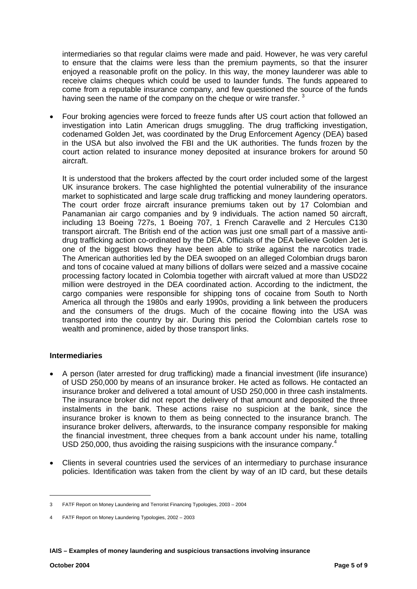intermediaries so that regular claims were made and paid. However, he was very careful to ensure that the claims were less than the premium payments, so that the insurer enjoyed a reasonable profit on the policy. In this way, the money launderer was able to receive claims cheques which could be used to launder funds. The funds appeared to come from a reputable insurance company, and few questioned the source of the funds having seen the name of the company on the cheque or wire transfer.<sup>[3](#page-4-1)</sup>

• Four broking agencies were forced to freeze funds after US court action that followed an investigation into Latin American drugs smuggling. The drug trafficking investigation, codenamed Golden Jet, was coordinated by the Drug Enforcement Agency (DEA) based in the USA but also involved the FBI and the UK authorities. The funds frozen by the court action related to insurance money deposited at insurance brokers for around 50 aircraft.

It is understood that the brokers affected by the court order included some of the largest UK insurance brokers. The case highlighted the potential vulnerability of the insurance market to sophisticated and large scale drug trafficking and money laundering operators. The court order froze aircraft insurance premiums taken out by 17 Colombian and Panamanian air cargo companies and by 9 individuals. The action named 50 aircraft, including 13 Boeing 727s, 1 Boeing 707, 1 French Caravelle and 2 Hercules C130 transport aircraft. The British end of the action was just one small part of a massive antidrug trafficking action co-ordinated by the DEA. Officials of the DEA believe Golden Jet is one of the biggest blows they have been able to strike against the narcotics trade. The American authorities led by the DEA swooped on an alleged Colombian drugs baron and tons of cocaine valued at many billions of dollars were seized and a massive cocaine processing factory located in Colombia together with aircraft valued at more than USD22 million were destroyed in the DEA coordinated action. According to the indictment, the cargo companies were responsible for shipping tons of cocaine from South to North America all through the 1980s and early 1990s, providing a link between the producers and the consumers of the drugs. Much of the cocaine flowing into the USA was transported into the country by air. During this period the Colombian cartels rose to wealth and prominence, aided by those transport links.

## <span id="page-4-0"></span>**Intermediaries**

- A person (later arrested for drug trafficking) made a financial investment (life insurance) of USD 250,000 by means of an insurance broker. He acted as follows. He contacted an insurance broker and delivered a total amount of USD 250,000 in three cash instalments. The insurance broker did not report the delivery of that amount and deposited the three instalments in the bank. These actions raise no suspicion at the bank, since the insurance broker is known to them as being connected to the insurance branch. The insurance broker delivers, afterwards, to the insurance company responsible for making the financial investment, three cheques from a bank account under his name, totalling USD 250,000, thus avoiding the raising suspicions with the insurance company.<sup>[4](#page-4-2)</sup>
- Clients in several countries used the services of an intermediary to purchase insurance policies. Identification was taken from the client by way of an ID card, but these details

 $\overline{\phantom{a}}$ 

<span id="page-4-1"></span><sup>3</sup> FATF Report on Money Laundering and Terrorist Financing Typologies, 2003 – 2004

<span id="page-4-2"></span><sup>4</sup> FATF Report on Money Laundering Typologies, 2002 – 2003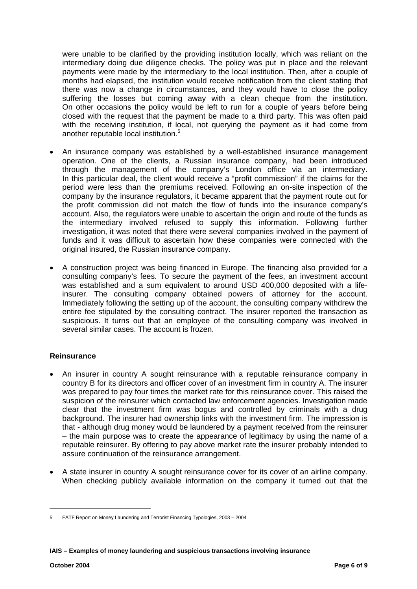were unable to be clarified by the providing institution locally, which was reliant on the intermediary doing due diligence checks. The policy was put in place and the relevant payments were made by the intermediary to the local institution. Then, after a couple of months had elapsed, the institution would receive notification from the client stating that there was now a change in circumstances, and they would have to close the policy suffering the losses but coming away with a clean cheque from the institution. On other occasions the policy would be left to run for a couple of years before being closed with the request that the payment be made to a third party. This was often paid with the receiving institution, if local, not querying the payment as it had come from another reputable local institution.<sup>[5](#page-5-1)</sup>

- An insurance company was established by a well-established insurance management operation. One of the clients, a Russian insurance company, had been introduced through the management of the company's London office via an intermediary. In this particular deal, the client would receive a "profit commission" if the claims for the period were less than the premiums received. Following an on-site inspection of the company by the insurance regulators, it became apparent that the payment route out for the profit commission did not match the flow of funds into the insurance company's account. Also, the regulators were unable to ascertain the origin and route of the funds as the intermediary involved refused to supply this information. Following further investigation, it was noted that there were several companies involved in the payment of funds and it was difficult to ascertain how these companies were connected with the original insured, the Russian insurance company.
- A construction project was being financed in Europe. The financing also provided for a consulting company's fees. To secure the payment of the fees, an investment account was established and a sum equivalent to around USD 400,000 deposited with a lifeinsurer. The consulting company obtained powers of attorney for the account. Immediately following the setting up of the account, the consulting company withdrew the entire fee stipulated by the consulting contract. The insurer reported the transaction as suspicious. It turns out that an employee of the consulting company was involved in several similar cases. The account is frozen.

## <span id="page-5-0"></span>**Reinsurance**

- An insurer in country A sought reinsurance with a reputable reinsurance company in country B for its directors and officer cover of an investment firm in country A. The insurer was prepared to pay four times the market rate for this reinsurance cover. This raised the suspicion of the reinsurer which contacted law enforcement agencies. Investigation made clear that the investment firm was bogus and controlled by criminals with a drug background. The insurer had ownership links with the investment firm. The impression is that - although drug money would be laundered by a payment received from the reinsurer – the main purpose was to create the appearance of legitimacy by using the name of a reputable reinsurer. By offering to pay above market rate the insurer probably intended to assure continuation of the reinsurance arrangement.
- A state insurer in country A sought reinsurance cover for its cover of an airline company. When checking publicly available information on the company it turned out that the

<span id="page-5-1"></span><sup>5</sup> FATF Report on Money Laundering and Terrorist Financing Typologies, 2003 – 2004

**IAIS – Examples of money laundering and suspicious transactions involving insurance**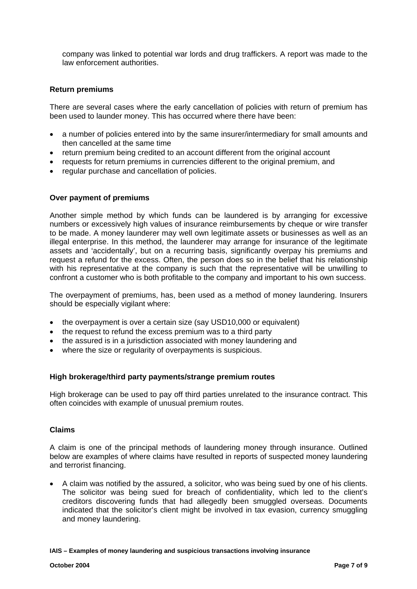company was linked to potential war lords and drug traffickers. A report was made to the law enforcement authorities.

#### <span id="page-6-0"></span>**Return premiums**

There are several cases where the early cancellation of policies with return of premium has been used to launder money. This has occurred where there have been:

- a number of policies entered into by the same insurer/intermediary for small amounts and then cancelled at the same time
- return premium being credited to an account different from the original account
- requests for return premiums in currencies different to the original premium, and
- regular purchase and cancellation of policies.

#### <span id="page-6-1"></span>**Over payment of premiums**

Another simple method by which funds can be laundered is by arranging for excessive numbers or excessively high values of insurance reimbursements by cheque or wire transfer to be made. A money launderer may well own legitimate assets or businesses as well as an illegal enterprise. In this method, the launderer may arrange for insurance of the legitimate assets and 'accidentally', but on a recurring basis, significantly overpay his premiums and request a refund for the excess. Often, the person does so in the belief that his relationship with his representative at the company is such that the representative will be unwilling to confront a customer who is both profitable to the company and important to his own success.

The overpayment of premiums, has, been used as a method of money laundering. Insurers should be especially vigilant where:

- the overpayment is over a certain size (say USD10,000 or equivalent)
- the request to refund the excess premium was to a third party
- the assured is in a jurisdiction associated with money laundering and
- where the size or regularity of overpayments is suspicious.

#### <span id="page-6-2"></span>**High brokerage/third party payments/strange premium routes**

High brokerage can be used to pay off third parties unrelated to the insurance contract. This often coincides with example of unusual premium routes.

#### <span id="page-6-3"></span>**Claims**

A claim is one of the principal methods of laundering money through insurance. Outlined below are examples of where claims have resulted in reports of suspected money laundering and terrorist financing.

• A claim was notified by the assured, a solicitor, who was being sued by one of his clients. The solicitor was being sued for breach of confidentiality, which led to the client's creditors discovering funds that had allegedly been smuggled overseas. Documents indicated that the solicitor's client might be involved in tax evasion, currency smuggling and money laundering.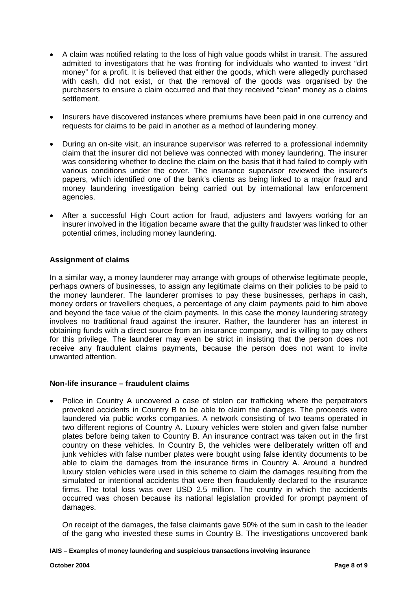- A claim was notified relating to the loss of high value goods whilst in transit. The assured admitted to investigators that he was fronting for individuals who wanted to invest "dirt money" for a profit. It is believed that either the goods, which were allegedly purchased with cash, did not exist, or that the removal of the goods was organised by the purchasers to ensure a claim occurred and that they received "clean" money as a claims settlement.
- Insurers have discovered instances where premiums have been paid in one currency and requests for claims to be paid in another as a method of laundering money.
- During an on-site visit, an insurance supervisor was referred to a professional indemnity claim that the insurer did not believe was connected with money laundering. The insurer was considering whether to decline the claim on the basis that it had failed to comply with various conditions under the cover. The insurance supervisor reviewed the insurer's papers, which identified one of the bank's clients as being linked to a major fraud and money laundering investigation being carried out by international law enforcement agencies.
- After a successful High Court action for fraud, adjusters and lawyers working for an insurer involved in the litigation became aware that the guilty fraudster was linked to other potential crimes, including money laundering.

# <span id="page-7-0"></span>**Assignment of claims**

In a similar way, a money launderer may arrange with groups of otherwise legitimate people, perhaps owners of businesses, to assign any legitimate claims on their policies to be paid to the money launderer. The launderer promises to pay these businesses, perhaps in cash, money orders or travellers cheques, a percentage of any claim payments paid to him above and beyond the face value of the claim payments. In this case the money laundering strategy involves no traditional fraud against the insurer. Rather, the launderer has an interest in obtaining funds with a direct source from an insurance company, and is willing to pay others for this privilege. The launderer may even be strict in insisting that the person does not receive any fraudulent claims payments, because the person does not want to invite unwanted attention.

## <span id="page-7-1"></span>**Non-life insurance – fraudulent claims**

• Police in Country A uncovered a case of stolen car trafficking where the perpetrators provoked accidents in Country B to be able to claim the damages. The proceeds were laundered via public works companies. A network consisting of two teams operated in two different regions of Country A. Luxury vehicles were stolen and given false number plates before being taken to Country B. An insurance contract was taken out in the first country on these vehicles. In Country B, the vehicles were deliberately written off and junk vehicles with false number plates were bought using false identity documents to be able to claim the damages from the insurance firms in Country A. Around a hundred luxury stolen vehicles were used in this scheme to claim the damages resulting from the simulated or intentional accidents that were then fraudulently declared to the insurance firms. The total loss was over USD 2.5 million. The country in which the accidents occurred was chosen because its national legislation provided for prompt payment of damages.

On receipt of the damages, the false claimants gave 50% of the sum in cash to the leader of the gang who invested these sums in Country B. The investigations uncovered bank

**IAIS – Examples of money laundering and suspicious transactions involving insurance**